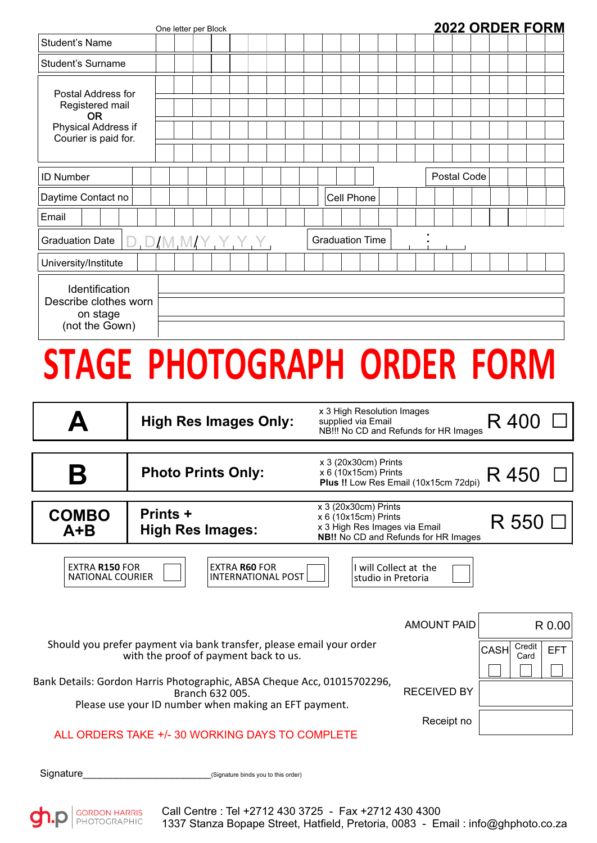|                                                                                                          |                 | One letter per Block |                           |                              |  |                                                                                             |  |  |  |             |       | <b>2022 ORDER FORM</b> |  |
|----------------------------------------------------------------------------------------------------------|-----------------|----------------------|---------------------------|------------------------------|--|---------------------------------------------------------------------------------------------|--|--|--|-------------|-------|------------------------|--|
| <b>Student's Name</b>                                                                                    |                 |                      |                           |                              |  |                                                                                             |  |  |  |             |       |                        |  |
| <b>Student's Surname</b>                                                                                 |                 |                      |                           |                              |  |                                                                                             |  |  |  |             |       |                        |  |
| Postal Address for<br>Registered mail<br><b>OR</b><br><b>Physical Address if</b><br>Courier is paid for. |                 |                      |                           |                              |  |                                                                                             |  |  |  |             |       |                        |  |
| <b>ID Number</b>                                                                                         |                 |                      |                           |                              |  |                                                                                             |  |  |  | Postal Code |       |                        |  |
| Daytime Contact no<br>Email                                                                              |                 |                      |                           |                              |  | Cell Phone                                                                                  |  |  |  |             |       |                        |  |
| <b>Graduation Date</b>                                                                                   |                 |                      |                           |                              |  | <b>Graduation Time</b>                                                                      |  |  |  |             |       |                        |  |
| University/Institute                                                                                     |                 |                      |                           |                              |  |                                                                                             |  |  |  |             |       |                        |  |
| Identification<br>Describe clothes worn<br>on stage<br>(not the Gown)                                    |                 |                      |                           |                              |  |                                                                                             |  |  |  |             |       |                        |  |
| STAGE PHOTOGRAPH ORDER FORM                                                                              |                 |                      |                           |                              |  |                                                                                             |  |  |  |             |       |                        |  |
| Δ                                                                                                        |                 |                      |                           | <b>High Res Images Only:</b> |  | x 3 High Resolution Images<br>supplied via Email<br>NB !!! No CD and Refunds for HR Images  |  |  |  |             | R400  |                        |  |
| Β                                                                                                        |                 |                      | <b>Photo Prints Only:</b> |                              |  | x 3 (20x30cm) Prints<br>$x 6$ (10 $x$ 15cm) Prints<br>Plus !! Low Res Email (10x15cm 72dpi) |  |  |  |             | R 450 |                        |  |
| <b>COMBO</b>                                                                                             | <b>Prints +</b> |                      |                           |                              |  | x 3 (20x30cm) Prints<br>x 6 (10x15cm) Prints                                                |  |  |  |             | R 550 |                        |  |

| <b>COMBO</b><br>$A + B$                          | <b>Prints +</b><br><b>High Res Images:</b>                                                                                                          | $x$ 3 (20 $x$ 30cm) Prints<br>$x 6$ (10 $x$ 15cm) Prints<br>x 3 High Res Images via Email<br><b>NB!!</b> No CD and Refunds for HR Images | R 550                                       |                    |                               |            |
|--------------------------------------------------|-----------------------------------------------------------------------------------------------------------------------------------------------------|------------------------------------------------------------------------------------------------------------------------------------------|---------------------------------------------|--------------------|-------------------------------|------------|
| <b>EXTRA R150 FOR</b><br><b>NATIONAL COURIER</b> | <b>EXTRA R60 FOR</b><br><b>INTERNATIONAL POST</b>                                                                                                   |                                                                                                                                          | I will Collect at the<br>studio in Pretoria |                    |                               |            |
|                                                  |                                                                                                                                                     |                                                                                                                                          |                                             | <b>AMOUNT PAID</b> |                               | R 0.00     |
|                                                  | Should you prefer payment via bank transfer, please email your order<br>with the proof of payment back to us.                                       |                                                                                                                                          |                                             |                    | Credit<br><b>CASH</b><br>Card | <b>EFT</b> |
|                                                  | Bank Details: Gordon Harris Photographic, ABSA Cheque Acc, 01015702296,<br>Branch 632 005.<br>Please use your ID number when making an EFT payment. |                                                                                                                                          |                                             | <b>RECEIVED BY</b> |                               |            |
|                                                  | ALL ORDERS TAKE +/- 30 WORKING DAYS TO COMPLETE                                                                                                     |                                                                                                                                          |                                             | Receipt no         |                               |            |

Signature\_\_\_\_\_\_\_\_\_\_\_\_\_\_\_\_\_\_\_\_\_\_\_(Signature binds you to this order)